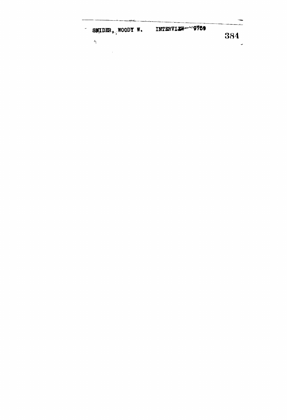| w | SMIDER, WOODY W. | INTERVI <del>ew</del> -~~~~9759 |      |
|---|------------------|---------------------------------|------|
|   | -14              |                                 | -384 |

 $\label{eq:2.1} \mathcal{L}(\mathcal{L}^{\text{c}}_{\text{c}}(\mathcal{L}^{\text{c}}_{\text{c}})) = \mathcal{L}(\mathcal{L}^{\text{c}}_{\text{c}}(\mathcal{L}^{\text{c}}_{\text{c}}))$ 

 $\star$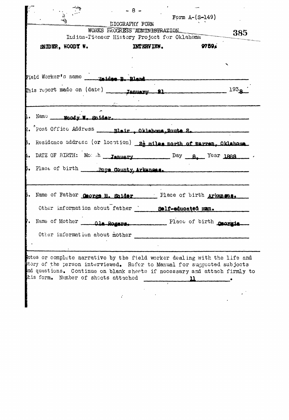|                                                                                                                                                      | $-8-$                         |                                             |                  |
|------------------------------------------------------------------------------------------------------------------------------------------------------|-------------------------------|---------------------------------------------|------------------|
|                                                                                                                                                      | <b><i>DIOGRAPHY FORM</i></b>  | Form $A - (S - 149)$                        |                  |
|                                                                                                                                                      | WORKS FROGRESS ADMINISTRATION |                                             | 385              |
|                                                                                                                                                      |                               | Indian-Pioneer History Project for Oklahoma |                  |
| SNIDER, WOODY W.                                                                                                                                     | <b>INTERVIEW.</b>             |                                             | 9759.            |
|                                                                                                                                                      |                               |                                             |                  |
|                                                                                                                                                      |                               |                                             |                  |
|                                                                                                                                                      |                               |                                             |                  |
| This report made on (date) <b>Ianuary 21</b>                                                                                                         |                               |                                             | 193 <sub>R</sub> |
|                                                                                                                                                      |                               |                                             |                  |
| 1. Name woody to suider.                                                                                                                             |                               |                                             |                  |
|                                                                                                                                                      |                               |                                             |                  |
| 3. Residence address (or location) 22 miles north of Warren, Oklahoma.                                                                               |                               |                                             |                  |
| 4. DATE OF BIRTH: Mo: h January Day B. Year 1888                                                                                                     |                               |                                             |                  |
|                                                                                                                                                      |                               |                                             |                  |
| 5. Place of birth ______ pore County, Arkansas.                                                                                                      |                               |                                             |                  |
|                                                                                                                                                      |                               |                                             |                  |
| 6. Name of Father Caprze M. Saider _____ Place of birth Arkangas.                                                                                    |                               |                                             |                  |
| Other information about father                                                                                                                       |                               | Self-educated man.                          |                  |
| Name of Mother                                                                                                                                       | Ala Pogars                    | Place of birth carry                        |                  |
| Other information about mother                                                                                                                       |                               |                                             |                  |
|                                                                                                                                                      |                               |                                             |                  |
|                                                                                                                                                      |                               |                                             |                  |
| lotes or complete narrative by the field worker dealing with the life and<br>story of the person interviewed. Refer to Manual for suggested subjects |                               |                                             |                  |
| and questions. Continue on blank sheets if necessary and attach firmly to                                                                            |                               |                                             |                  |
| this form. Number of sheets attached                                                                                                                 |                               | 11                                          |                  |
|                                                                                                                                                      |                               |                                             |                  |
|                                                                                                                                                      |                               |                                             |                  |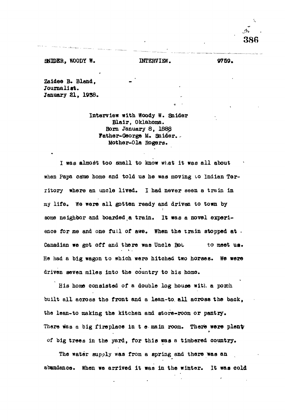**386**

**Zaidee B. Bland, Journalist. January 81, 1938.**

> **Interview with Woody W. Snider Blair, Oklahoma. Bom January 8, 1888 Father-George M. Saider.- Mother-Ola Rogers.**

**I was almost too small to know what it was all about** when Papa came home and told us he was moving to Indian Ter**ritory where an uncle lived. I had never seen a train in my life . We were all gotten ready and driven to town by some neighbor and boarded a train. It was a novel experi**ence for me and one full of awe. When the train stopped at . Canadian we got off and there was Uncle Bot to meet us. **He had a big wagon to which were hitched two horses. We were driven seven miles into the country to his homo.**

**Bis home consisted of a double log house with a porch built all aeroas the front and a lean-to, all across the back, the lean-to making the kitchen and store-room or pantry. There was a big fireplace in t e main room. There were plenty of big trees in the yard, for this was a timbered country.**

**The water supply was from a spring and there was an abundance. When we arrived it was in the winter. It was cold**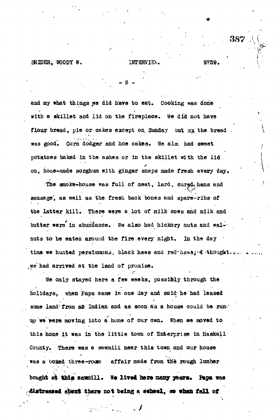387 *A i*

**\**

and my what things we did have to eat. Cooking was done with a skillet and lid on the fireplace. We did not have flour bread, pie or cakes except on Sunday but my the bread was good. Corn dodger and hoe cakes. We also had sweet potatoes baked in the ashes or in the skillet with the lid on, hode-made sorghum with ginger snaps made fresh every day.

- 2 -

The smoke-house was full of meat, lard, cured, hams and sausage', as well as the fresh back bones and spare-ribs of the latter kill. There were a lot of milk cows and milk and butter were in abundance. We also had hickory nuts and walnuts to be eaten around the fire every night. In the day time we hunted persimmons, black haws and red\*haws; & \*thought. we had arrived at the land of promise.

We only stayed here a few weeks, possibly through the Holidays, when Fapa came in one day and said; he had leased some land from an Indian and as soon as a house could be run. up we were moving into a home of our own. When we moved to this home it was in the little town of Enterprise in Haskell County. There was a sawmill near this town and our house was a boxed three-roum affair made from the rough lumber

bought at this sammill. We lived here many years. Pape was fl&tfttt there not belag a safceol, *m* **wlwa tal l of**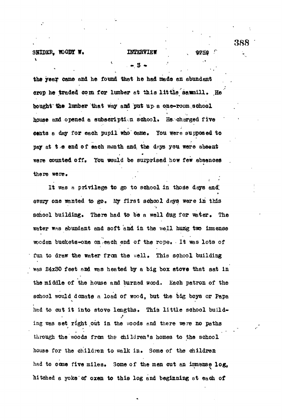## SHIDER, WOODY W. **INTERVIEW**

- 3 -

### 9759

**'i \***

the year came and he found that he had made an abundant crop he traded com for lumber at this little sammill. He bought the lumber that way and pat up a one-room school house and opened a subscription school. He charged five cents a day for each pupil who came. You were supposed to pay at t  $\epsilon$  end of each month and the days you were absent were counted off. You would be surprised how few absences ther© were,

It was a privilege to go to school in those days and *QV&zy* one wanted t& ge\* *tig* first school d^s. were in this school building. There had to be a well dug for  $\mathcal{S}_\mathcal{A}$  well dug for  $\mathcal{S}_\mathcal{A}$   $\mathcal{S}_\mathcal{A}$  . water was abundant and soft and in the well hung two immense was abundant and soft and soft and soft and soft and in the well hung two issemiwoden buckets-one on each end of the rope. It was lots of wooden buckets-cone on . Each end of the rope  $\mathcal{L}_\mathcal{D}$  is a lots of the rope  $\mathcal{L}_\mathcal{D}$ fun to draw the water from the well. This school building function to draw the water from the water from the water from the well- This school building the water from the  $\mathcal{L}_{\mathcal{A}}$  as a stochastic that satisfies that satisfies that satisfies that satisfies that satisfies that satisfies the middle of the house and burned wood. Each patron of the the middle of the house and burcad wood. Each patron of the school would donate a load of wood, but the big boys or Papa had to out it into stove lengths. This little school buildhad to cut it into stove lengths the store lengths  $\mathbb{R}^3$ ing was set right out in the woods and there were no paths through the woods from the woods from the school  $\mathcal{A}$ house for the children to walk in. Some of the children house for the children to walk: in the children to walk: in the children to walk: in the children to walk: in had to come five miles. Some of the men out an imnense log. hitched a yoke of oxen to this log and beginning at each of

**388**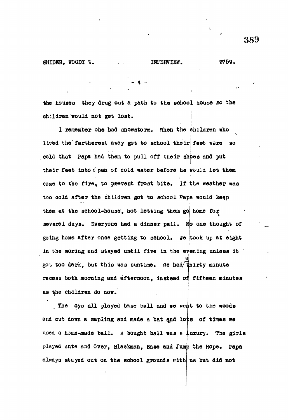**the houses they drug out a path to the sohool house so the** children would not get lost.

**1 remember one bad snowstorm, when the children who** lived the fartherest away got to school their feet were so cold that Papa had them to pull off their shoes and put their feet into a pan of cold water before he would let them come to the fire, to prevent frost bite. If the weather was **I** too cold after the children got to school Papa would keep them at the school-house, not letting them go home for the school down. The school hold is defined to the school them go them go them go them go them go them go them go them go them go them go them go them go them go them go them go them go them go them go them go them go them **several days. Everyone had a dinner pail, o one thought of going home after once getting to school. We took up at eight in the moring and stayed until five in the e ening unless it** got too dark, but this was suntime. We had thirty minute **recess both morning and afternoon, instead o fifteen minutes as the children do now.**

The 'oys all played base ball and we went to the woods and cut down a sapling and made a bat and lots of times we **used a home-made ball.** *A* **bought ball was a uxury. The girls playod Ante and Over, Blactonan, Base and Jum the Rope, Papa always stayed out on the school grounds with us but did not**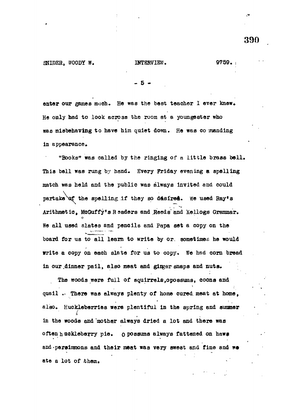- 5 -

enter our games much. He was the best teacher I ever knew. He only had to look across the rooa at a youngester who was misbehaving to have him quiet down. He was co manding in appearance.

"Books" was called by the ringing of a little brass bell. This bell was rung by hand. Every Friday evening a spelling match was held and the public was always invited and could partake of the spelling if they so desired. We used Ray's Arithmetic, McGuffy's Readers and Reeds and Kellogs Grammar. He all used slates and pencils and Papa set a copy on the board for us to all learn to write by or. sometimes he would write a copy on each slate for us to copy. We had corn bread in our dinner pail, also meat and ginger snaps and nuts.

The woods were full of squirrels, opossums, coons and quail .. There was always plenty of home cured meat at home, also. Huckleberries were plentiful in the spring and simmer in the woods and "mother always dried a lot and there was often huckleberry pie. O possums always fattened on haws and -persinmons and their meat was very sweat and fine and we ate a lot of them.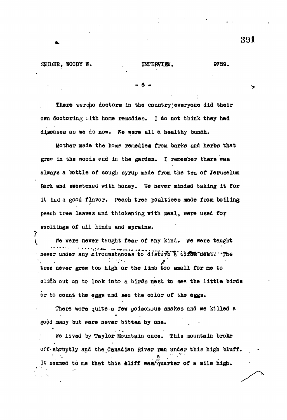- 6 -

There wereho doctors in the country everyone did their own doctoring ..ith home remedies. I do not think they had diseases as we do now. We were all a healthy bunch.

Mother made the home remedies from barks and herbs that grew in the woods and in the garden. I remember there was always a bottle of cough syrup made from the tea of Jeruselum Bark and sseetened with honey, we never minded taking it for it had a good flavor. Peach tree poultices made from boiling peach tree leaves and thickening with meal, were used for swellings of all kinds and sprains.

We were never taught fear of any kind. We were taught never under any circumstances to disturb a tliRuS nest: "The tree never grew too high or the limb too small for me to climb out on to look into a birds nest to see the little birds or to count the eggs and see the color of the eggs.

There were quite-a few poisonous snakes and we killed a good many but were never bitten by one.

We lived by Taylor Mountain once. This mountain broke off abruptly and the Canadian River ran under this high bluff. It seemed to me that this eliff was/quarter of a mile high.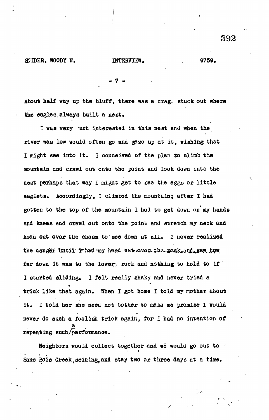**- 7 -**

About half way up the bluff, there was a crag. stuck out where the eagles,always built a nest.

I was very uch interested in this nest and when the river was low would often go and gaze up at it, wishing that I might see into it. I conceived of the plan to climb the mountain and crawl out onto the point and look down into the nest perhaps that way I might get to see the eggs or little eaglets. Accordingly, I climbed the mountain; after I had gotten to the top of the mountain I had to get down on my hands and knees and crawl out onto the point and stretch my neck and head out over the chasm to see down at all. I never realized the danger thitli Thad-ay head eut over-the. mog-and saw how far down it was to the lower: rock and nothing to hold to if I started sliding. I felt really shaky and never tried a trick like that again. When I got home I told my mother about it, I told her she need not bother to make me promise I would never do such a foolish trick again, for I had no intention of a repeating such/performance.

Neighbors would collect together and we would go out to Sans Bois Creek, seining, and stay two or three days at a time.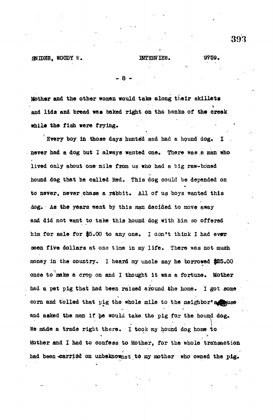**- 8 -**

Mother and the other women would take along their skillets and lids and bread was baked right on the banks of the creek while the fiah were frying.

Every boy in those days hunted and had a hound dog. never had a dog but I always wanted one. There was a man who lived only about one mile from us who had a big raw-boned hound dog that he called Red. This dog could be depended on to never, never chase a rabbit. All of us boys wanted this dog. As the years want by this man decided- to move away and did not want to take this hound dog with him so offered him for sale for \$5.00 to any one. I don't think I had ever seen five dollars at one time in my life. There was not much money in the country. I heard my uncle say he borrowed \$85.00 once to make a crop on and I thought it was a fortune. Mother had a pet pig that had been raised around the home. I got .some corn and tolled that pig the whole mile to the neighbor's space and asked the man if he would take the pig for the hound dog. We made a trade right there. I took my hound dog home to Mother and I had to confess.to Mother, for the whole transaction had been-carried on unbeknownst to my mother who owned the pig.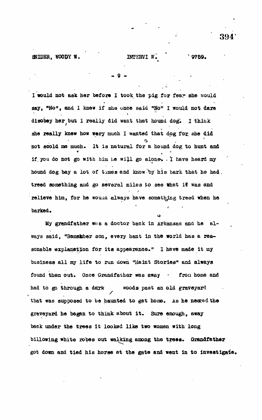**• 9 - .**

**I would not ask her before I took the pig for fear she would say, "No", and I knew if she once said <sup>n</sup>No" I would not dare** disobey here  $\mathbf{r}$  really did want that hound dogs in the hound dogs in the hound dogs in the hound dogs in the  $\mathbf{r}$ **she really knew how very much I wanted that dog fo?, she did not scold me much and me much and me much and me much and me much and me much and me much and me much and me much and me much and me much and me much and me much and me much and me much and me much and me much and me much** if you do not go with him he will go alone. I have heard my hound dog bay a lot of times and know by his bark that he had. **hound dog bay a lot. of times and know "by his bark that he had. treed something and go several miles po see that it was and relieve him, for he KOUICL always have something treed when he** barked.

**My grandfather was a doctor back in Arkansas and he always said, "Ramekber son, every hant in the world has a reasonable explanation for its appearance." I have made it my business all my life to run down "Uaint Stories" and always found them out. Once Grandfather was away • frou home and had to go through a dark woods past an old graveyard that was supposed to be haunted to get home. As he nesced the graveyard he began to think about it. Sure enough, away back under the trees it looked like two women with long billowing white robes out walking among the trees. Grandfather got down and tied his horse at the gate and went in to investigate.**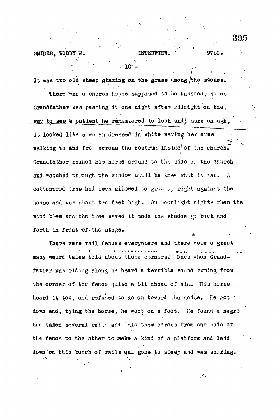forth in front of *\** the 3ta£e«

395

۰,

It was two old sheep grazing on the grass among the stones. There was a church house supposed to be haunted, so as Grandfather was passing it one night after .aidnight on the. **Hay** to see a patient he remembered to look and sure enough. it looked like u wonan dressed in white waving her'arms *<* walking to and fro across the rostrum inside of the church. **; I** Grandfather reined his horse around to tho side jf the church  $\mathbf{A}$ and with the window use  $\sigma$ contract tree had oeen allowed to  $\alpha$ house and was about ten feat high. On moonlight nights when the wind blew and the tree «aved it made tha shadow *{p* back and

 $10$ .

^hure were rail fences everywhere and there were a great many weird tales told about these corners. Once when Grandmany weird tales to tale about the about theat corners. Once the about theat corners of the corners of the cor father .was riding along he heard a terribl e sound coming from the comer of the fence quite a bit ahead of hin. His horse  $\mathcal{A}$ heard *i\* too, and refused to go on toward the noise. He got-\* down and, tying the horse, he went on a foot. He found a negro had taken several rail's and laid them across from one side of the feature to the other to the other to aek» a kind of a kind of a kind of a kind of a down on this bunch of rails amu gone to sleep and was snoring.

**A**